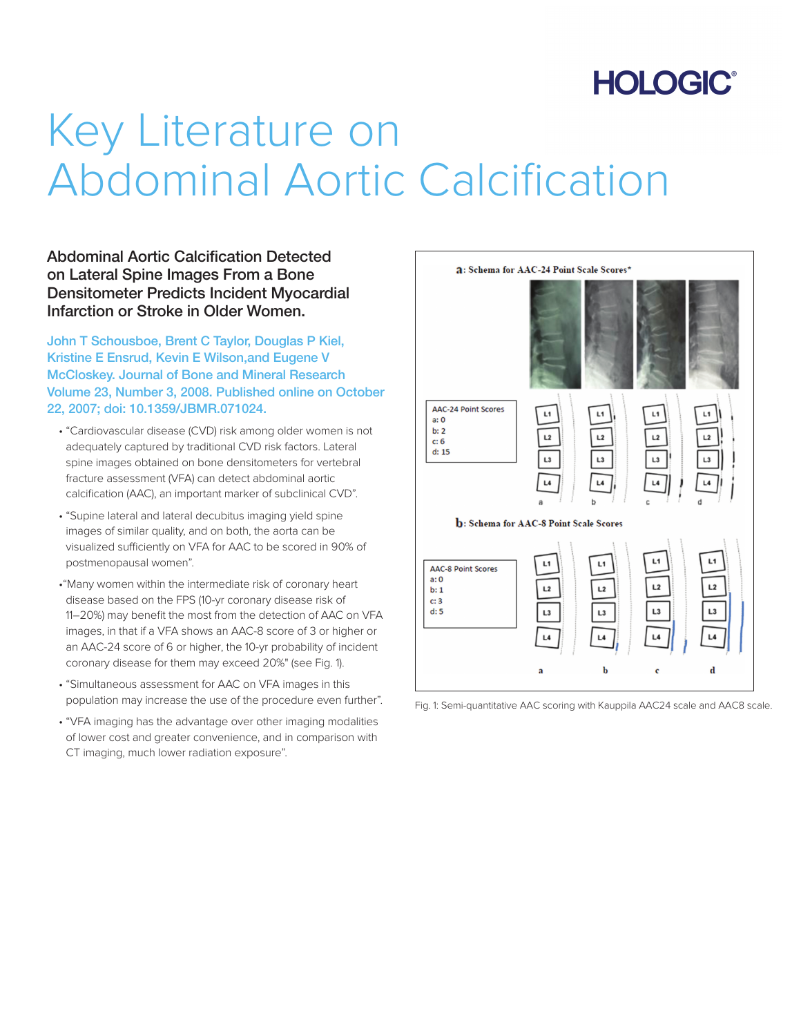## **HOLOGIC®**

# Key Literature on Abdominal Aortic Calcification

Abdominal Aortic Calcification Detected on Lateral Spine Images From a Bone Densitometer Predicts Incident Myocardial Infarction or Stroke in Older Women.

John T Schousboe, Brent C Taylor, Douglas P Kiel, Kristine E Ensrud, Kevin E Wilson,and Eugene V McCloskey. Journal of Bone and Mineral Research Volume 23, Number 3, 2008. Published online on October 22, 2007; doi: 10.1359/JBMR.071024.

- "Cardiovascular disease (CVD) risk among older women is not adequately captured by traditional CVD risk factors. Lateral spine images obtained on bone densitometers for vertebral fracture assessment (VFA) can detect abdominal aortic calcification (AAC), an important marker of subclinical CVD".
- "Supine lateral and lateral decubitus imaging yield spine images of similar quality, and on both, the aorta can be visualized sufficiently on VFA for AAC to be scored in 90% of postmenopausal women".
- •"Many women within the intermediate risk of coronary heart disease based on the FPS (10-yr coronary disease risk of 11–20%) may benefit the most from the detection of AAC on VFA images, in that if a VFA shows an AAC-8 score of 3 or higher or an AAC-24 score of 6 or higher, the 10-yr probability of incident coronary disease for them may exceed 20%" (see Fig. 1).
- "Simultaneous assessment for AAC on VFA images in this population may increase the use of the procedure even further".
- "VFA imaging has the advantage over other imaging modalities of lower cost and greater convenience, and in comparison with CT imaging, much lower radiation exposure".



Fig. 1: Semi-quantitative AAC scoring with Kauppila AAC24 scale and AAC8 scale.